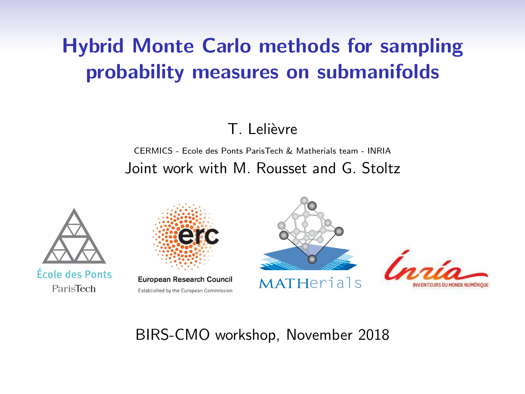# Hybrid Monte Carlo methods for sampling probability measures on submanifolds

### T. Lelièvre

#### CERMICS - Ecole des Ponts ParisTech & Matherials team - INRIA Joint work with M. Rousset and G. Stoltz





### BIRS-CMO workshop, November 2018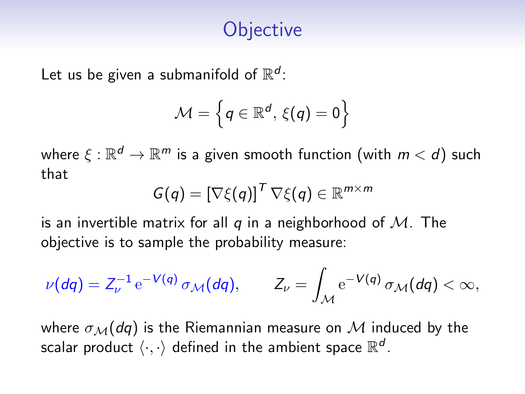# **Objective**

Let us be given a submanifold of  $\mathbb{R}^d$ :

$$
\mathcal{M}=\left\{q\in\mathbb{R}^d,\,\xi(q)=0\right\}
$$

where  $\xi : \mathbb{R}^d \to \mathbb{R}^m$  is a given smooth function (with  $m < d$ ) such that

$$
G(q) = [\nabla \xi(q)]^T \nabla \xi(q) \in \mathbb{R}^{m \times m}
$$

is an invertible matrix for all q in a neighborhood of  $M$ . The objective is to sample the probability measure:

$$
\nu(dq) = Z_{\nu}^{-1} e^{-V(q)} \sigma_{\mathcal{M}}(dq), \qquad Z_{\nu} = \int_{\mathcal{M}} e^{-V(q)} \sigma_{\mathcal{M}}(dq) < \infty,
$$

where  $\sigma_{\mathcal{M}}(dq)$  is the Riemannian measure on M induced by the scalar product  $\langle \cdot, \cdot \rangle$  defined in the ambient space  $\mathbb{R}^d$ .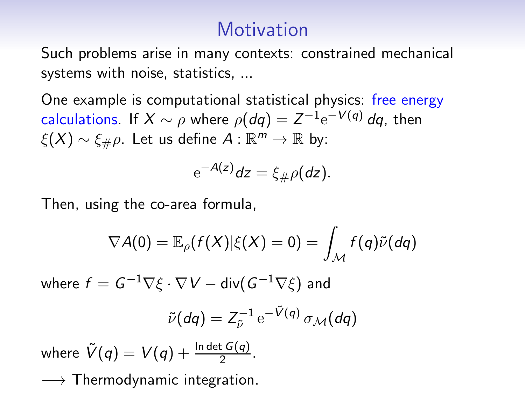### **Motivation**

Such problems arise in many contexts: constrained mechanical systems with noise, statistics, ...

One example is computational statistical physics: free energy calculations. If  $X \sim \rho$  where  $\rho(dq) = Z^{-1} e^{-V(q)} dq$ , then  $\xi(X) \sim \xi_\# \rho$ . Let us define  $A : \mathbb{R}^m \to \mathbb{R}$  by:

$$
e^{-A(z)}dz=\xi_{\#}\rho(dz).
$$

Then, using the co-area formula,

$$
\nabla A(0) = \mathbb{E}_{\rho}(f(X)|\xi(X) = 0) = \int_{\mathcal{M}} f(q) \tilde{\nu}(dq)
$$

where  $f = G^{-1} \nabla \xi \cdot \nabla V - \text{div} (G^{-1} \nabla \xi)$  and

$$
\tilde{\nu}(dq) = Z_{\tilde{\nu}}^{-1} e^{-\tilde{V}(q)} \sigma_{\mathcal{M}}(dq)
$$

where  $\tilde{V}(q) = V(q) + \frac{\ln \det G(q)}{2}$ .  $\longrightarrow$  Thermodynamic integration.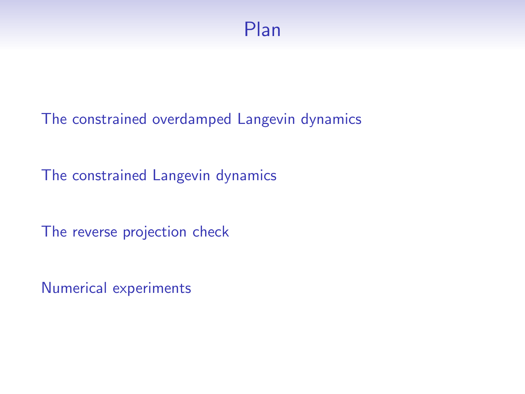[The constrained overdamped Langevin dynamics](#page-4-0)

[The constrained Langevin dynamics](#page-7-0)

[The reverse projection check](#page-15-0)

[Numerical experiments](#page-23-0)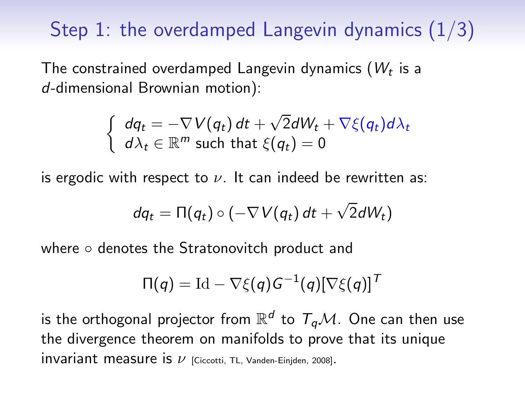# <span id="page-4-0"></span>Step 1: the overdamped Langevin dynamics  $(1/3)$

The constrained overdamped Langevin dynamics ( $W_t$  is a d-dimensional Brownian motion):

$$
\begin{cases} dq_t = -\nabla V(q_t) dt + \sqrt{2} dW_t + \nabla \xi(q_t) d\lambda_t\\ d\lambda_t \in \mathbb{R}^m \text{ such that } \xi(q_t) = 0 \end{cases}
$$

is ergodic with respect to  $\nu$ . It can indeed be rewritten as:

$$
dq_t = \Pi(q_t) \circ (-\nabla V(q_t) dt + \sqrt{2} dW_t)
$$

where ○ denotes the Stratonovitch product and

$$
\Pi(q) = \mathrm{Id} - \nabla \xi(q) G^{-1}(q) [\nabla \xi(q)]^T
$$

is the orthogonal projector from  $\mathbb{R}^d$  to  $T_q\mathcal{M}.$  One can then use the divergence theorem on manifolds to prove that its unique  $invariant$  measure is  $\nu$  [Ciccotti, TL, Vanden-Einjden, 2008].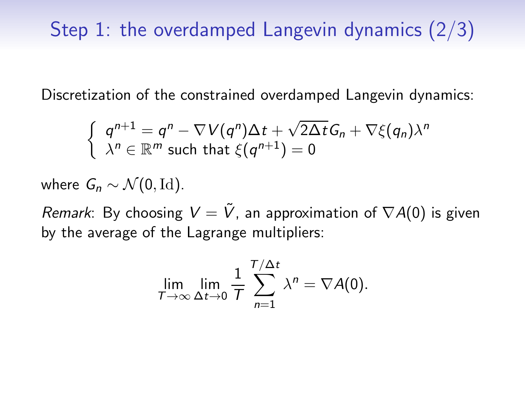Discretization of the constrained overdamped Langevin dynamics:

$$
\begin{cases}\n q^{n+1} = q^n - \nabla V(q^n) \Delta t + \sqrt{2\Delta t} G_n + \nabla \xi(q_n) \lambda^n \\
 \lambda^n \in \mathbb{R}^m \text{ such that } \xi(q^{n+1}) = 0\n\end{cases}
$$

where  $G_n \sim \mathcal{N}(0, \text{Id}).$ 

*Remark*: By choosing  $V = \tilde{V}$ , an approximation of  $\nabla A(0)$  is given by the average of the Lagrange multipliers:

$$
\lim_{T\to\infty}\lim_{\Delta t\to 0}\frac{1}{T}\sum_{n=1}^{T/\Delta t}\lambda^n=\nabla A(0).
$$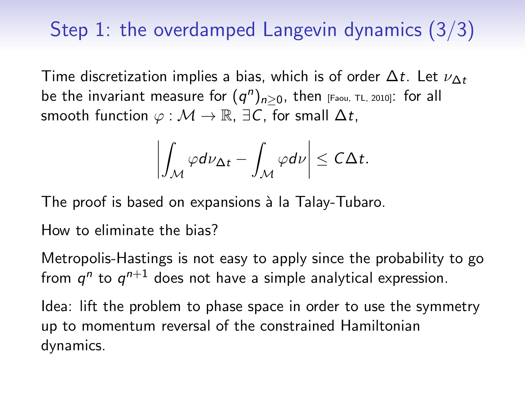# Step 1: the overdamped Langevin dynamics (3/3)

Time discretization implies a bias, which is of order  $\Delta t$ . Let  $\nu_{\Delta t}$ be the invariant measure for  $(q^n)_{n\geq 0}$ , then  $_{\rm [Faou,~TL,~2010]}$ : for all smooth function  $\varphi : \mathcal{M} \to \mathbb{R}$ ,  $\exists C$ , for small  $\Delta t$ ,

$$
\left|\int_{\mathcal{M}}\varphi d\nu_{\Delta t}-\int_{\mathcal{M}}\varphi d\nu\right|\leq C\Delta t.
$$

The proof is based on expansions à la Talay-Tubaro.

How to eliminate the bias?

Metropolis-Hastings is not easy to apply since the probability to go from  $q^n$  to  $q^{n+1}$  does not have a simple analytical expression.

Idea: lift the problem to phase space in order to use the symmetry up to momentum reversal of the constrained Hamiltonian dynamics.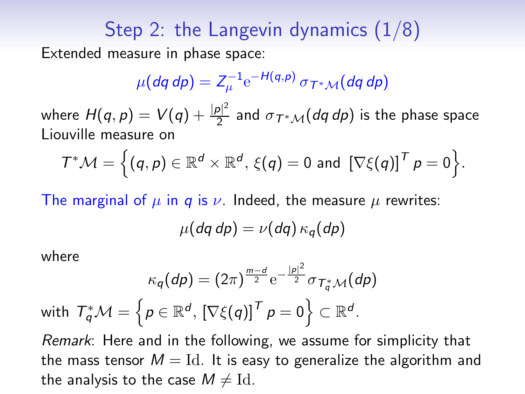## <span id="page-7-0"></span>Step 2: the Langevin dynamics  $(1/8)$ Extended measure in phase space:

$$
\mu(dq\,dp)=Z_{\mu}^{-1}\mathrm{e}^{-H(q,p)}\,\sigma_{T^*\mathcal{M}}(dq\,dp)
$$

where  $H(q,p)=V(q)+\frac{|p|^2}{2}$  $\frac{21}{2}$  and  $\sigma_{\mathcal{T}^*\mathcal{M}}(d q \, dp)$  is the phase space Liouville measure on

$$
\mathcal{T}^*\mathcal{M} = \Big\{ (q,p) \in \mathbb{R}^d \times \mathbb{R}^d, \, \xi(q) = 0 \text{ and } \left[ \nabla \xi(q) \right]^T p = 0 \Big\}.
$$

The marginal of  $\mu$  in q is  $\nu$ . Indeed, the measure  $\mu$  rewrites:

$$
\mu(dq\,dp)=\nu(dq)\,\kappa_q(dp)
$$

where

$$
\kappa_q(dp)=(2\pi)^{\frac{m-d}{2}}\mathrm{e}^{-\frac{|p|^2}{2}}\sigma_{T_q^*\mathcal{M}}(dp)
$$
\nwith  $T_q^*\mathcal{M}=\left\{p\in\mathbb{R}^d,\left[\nabla\xi(q)\right]^T p=0\right\}\subset\mathbb{R}^d$ .

Remark: Here and in the following, we assume for simplicity that the mass tensor  $M = Id$ . It is easy to generalize the algorithm and the analysis to the case  $M \neq \mathrm{Id}$ .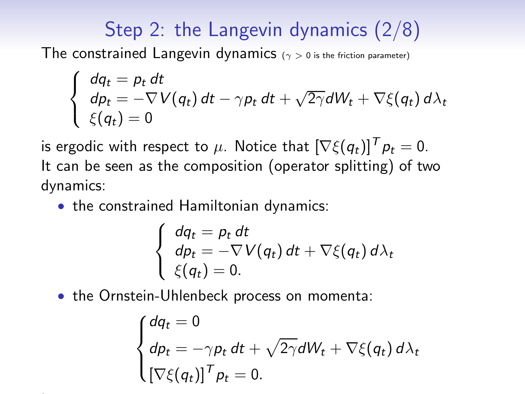# Step 2: the Langevin dynamics (2/8)

The constrained Langevin dynamics ( $\gamma > 0$  is the friction parameter)

$$
\begin{cases}\n dq_t = p_t dt \\
 dp_t = -\nabla V(q_t) dt - \gamma p_t dt + \sqrt{2\gamma} dW_t + \nabla \xi(q_t) d\lambda_t \\
 \xi(q_t) = 0\n\end{cases}
$$

is ergodic with respect to  $\mu$ . Notice that  $[\nabla \xi(q_t)]^T p_t = 0$ . It can be seen as the composition (operator splitting) of two dynamics:

• the constrained Hamiltonian dynamics:

$$
\begin{cases}\n dq_t = p_t dt \\
 dp_t = -\nabla V(q_t) dt + \nabla \xi(q_t) d\lambda_t \\
 \xi(q_t) = 0.\n\end{cases}
$$

• the Ornstein-Uhlenbeck process on momenta:

$$
\begin{cases} dq_t = 0 \\ dp_t = -\gamma p_t dt + \sqrt{2\gamma} dW_t + \nabla \xi(q_t) d\lambda_t \\ \left[\nabla \xi(q_t)\right]^T p_t = 0. \end{cases}
$$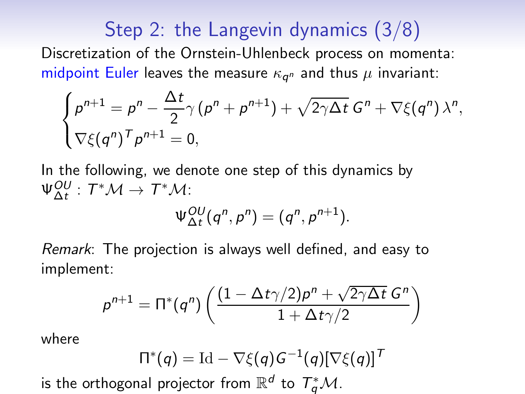# Step 2: the Langevin dynamics (3/8)

Discretization of the Ornstein-Uhlenbeck process on momenta: midpoint Euler leaves the measure  $\kappa_{\bm{q}^n}$  and thus  $\mu$  invariant:

$$
\begin{cases}\n\rho^{n+1} = \rho^n - \frac{\Delta t}{2} \gamma (\rho^n + \rho^{n+1}) + \sqrt{2\gamma \Delta t} \ G^n + \nabla \xi(q^n) \ \lambda^n, \\
\nabla \xi(q^n)^\top \rho^{n+1} = 0,\n\end{cases}
$$

In the following, we denote one step of this dynamics by  $\Psi_{\Delta t}^{OU}:T^*\mathcal{M}\rightarrow T^*\mathcal{M}$ :  $\Psi_{\Delta t}^{OU}(q^n, p^n) = (q^n, p^{n+1}).$ 

Remark: The projection is always well defined, and easy to implement:

$$
p^{n+1} = \Pi^*(q^n) \left( \frac{(1 - \Delta t \gamma/2) p^n + \sqrt{2 \gamma \Delta t} G^n}{1 + \Delta t \gamma/2} \right)
$$

where

$$
\Pi^*(q) = \mathrm{Id} - \nabla \xi(q) G^{-1}(q) [\nabla \xi(q)]^T
$$

is the orthogonal projector from  $\mathbb{R}^d$  to  $\mathcal{T}_q^*\mathcal{M}.$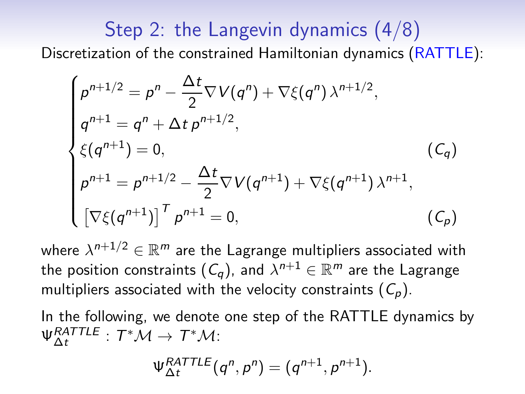## Step 2: the Langevin dynamics (4/8) Discretization of the constrained Hamiltonian dynamics (RATTLE):

$$
\begin{cases}\n\rho^{n+1/2} = \rho^n - \frac{\Delta t}{2} \nabla V(q^n) + \nabla \xi(q^n) \lambda^{n+1/2}, \\
q^{n+1} = q^n + \Delta t \rho^{n+1/2}, \\
\xi(q^{n+1}) = 0, \qquad (C_q) \\
\rho^{n+1} = \rho^{n+1/2} - \frac{\Delta t}{2} \nabla V(q^{n+1}) + \nabla \xi(q^{n+1}) \lambda^{n+1}, \\
\left[\nabla \xi(q^{n+1})\right]^T \rho^{n+1} = 0, \qquad (C_p)\n\end{cases}
$$

where  $\lambda^{n+1/2} \in \mathbb{R}^m$  are the Lagrange multipliers associated with the position constraints  $(\mathcal{C}_q)$ , and  $\lambda^{n+1} \in \mathbb{R}^m$  are the Lagrange multipliers associated with the velocity constraints  $(C_p)$ .

In the following, we denote one step of the RATTLE dynamics by  $\Psi_{\Delta t}^{RATTLE}: T^*\mathcal{M}\to T^*\mathcal{M}$ :

$$
\Psi_{\Delta t}^{RATTLE}(q^n,p^n)=(q^{n+1},p^{n+1}).
$$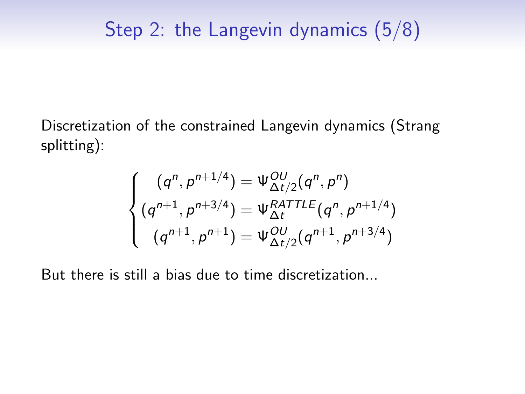Discretization of the constrained Langevin dynamics (Strang splitting):

$$
\begin{cases}\n(q^n, p^{n+1/4}) = \Psi_{\Delta t/2}^{OU}(q^n, p^n) \\
(q^{n+1}, p^{n+3/4}) = \Psi_{\Delta t}^{RATTLE}(q^n, p^{n+1/4}) \\
(q^{n+1}, p^{n+1}) = \Psi_{\Delta t/2}^{OU}(q^{n+1}, p^{n+3/4})\n\end{cases}
$$

But there is still a bias due to time discretization...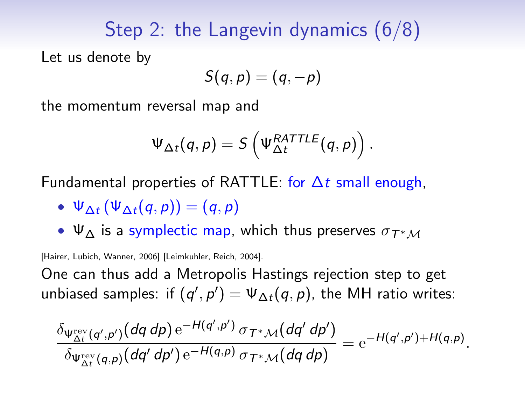## Step 2: the Langevin dynamics (6/8)

Let us denote by

$$
S(q,p)=(q,-p)
$$

the momentum reversal map and

$$
\Psi_{\Delta t}(q,p) = S\left(\Psi_{\Delta t}^{RATTLE}(q,p)\right).
$$

Fundamental properties of RATTLE: for  $\Delta t$  small enough,

- $\Psi_{\Delta t}(\Psi_{\Delta t}(q, p)) = (q, p)$
- $\Psi_{\Lambda}$  is a symplectic map, which thus preserves  $\sigma_{T^*M}$

[Hairer, Lubich, Wanner, 2006] [Leimkuhler, Reich, 2004].

One can thus add a Metropolis Hastings rejection step to get unbiased samples: if  $(q', p') = \Psi_{\Delta t}(q, p)$ , the MH ratio writes:

$$
\frac{\delta_{\Psi_{\Delta t}^{\text{rev}}(q',p')}(dq\,dp) e^{-H(q',p')}\,\sigma_{T^*\mathcal{M}}(dq'\,dp')}{\delta_{\Psi_{\Delta t}^{\text{rev}}(q,p)}(dq'\,dp') e^{-H(q,p)}\,\sigma_{T^*\mathcal{M}}(dq\,dp)} = e^{-H(q',p')+H(q,p)}.
$$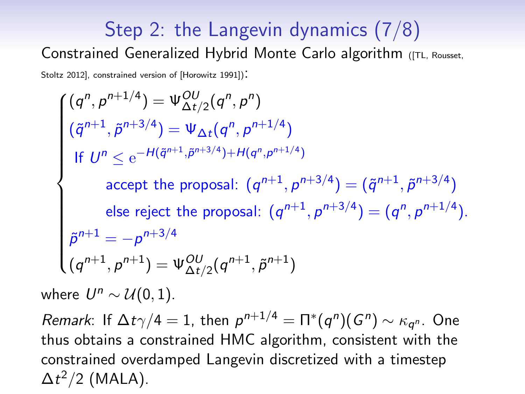# Step 2: the Langevin dynamics (7/8)

#### Constrained Generalized Hybrid Monte Carlo algorithm ([TL, Rousset,

Stoltz 2012], constrained version of [Horowitz 1991]).

$$
\begin{cases}\n(q^n, p^{n+1/4}) = \Psi_{\Delta t/2}^{\text{OU}}(q^n, p^n) \\
(\tilde{q}^{n+1}, \tilde{p}^{n+3/4}) = \Psi_{\Delta t}(q^n, p^{n+1/4}) \\
\text{If } U^n \le e^{-H(\tilde{q}^{n+1}, \tilde{p}^{n+3/4}) + H(q^n, p^{n+1/4})} \\
\text{accept the proposal: } (q^{n+1}, p^{n+3/4}) = (\tilde{q}^{n+1}, \tilde{p}^{n+3/4}) \\
\text{else reject the proposal: } (q^{n+1}, p^{n+3/4}) = (q^n, p^{n+1/4}). \\
\tilde{p}^{n+1} = -p^{n+3/4} \\
(q^{n+1}, p^{n+1}) = \Psi_{\Delta t/2}^{\text{OU}}(q^{n+1}, \tilde{p}^{n+1})\n\end{cases}
$$

where  $U^n \sim \mathcal{U}(0, 1)$ .

Remark: If  $\Delta t \gamma/4 = 1$ , then  $p^{n+1/4} = \Pi^*(q^n)(G^n) \sim \kappa_{q^n}$ . One thus obtains a constrained HMC algorithm, consistent with the constrained overdamped Langevin discretized with a timestep  $\Delta t^2/2$  (MALA).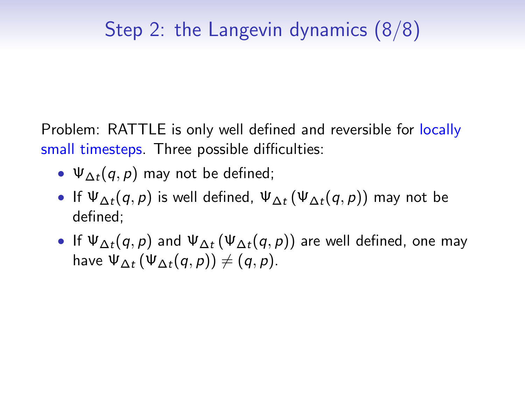# Step 2: the Langevin dynamics (8/8)

Problem: RATTLE is only well defined and reversible for locally small timesteps. Three possible difficulties:

- $\Psi_{\Delta t}(q, p)$  may not be defined;
- If  $\Psi_{\Delta t}(q, p)$  is well defined,  $\Psi_{\Delta t}(\Psi_{\Delta t}(q, p))$  may not be defined;
- If  $\Psi_{\Delta t}(q, p)$  and  $\Psi_{\Delta t}(\Psi_{\Delta t}(q, p))$  are well defined, one may have  $\Psi_{\Delta t}(\Psi_{\Delta t}(q, p)) \neq (q, p)$ .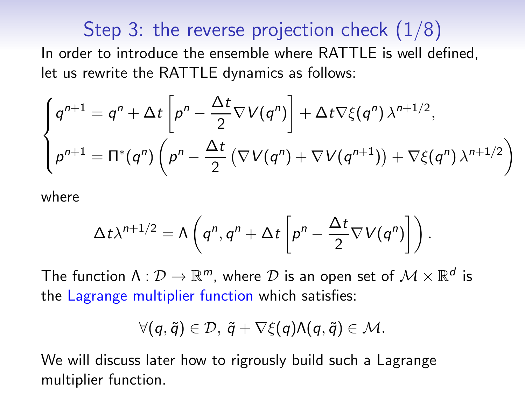## Step 3: the reverse projection check  $(1/8)$

<span id="page-15-0"></span>In order to introduce the ensemble where RATTLE is well defined, let us rewrite the RATTLE dynamics as follows:

$$
\begin{cases}\n q^{n+1} = q^n + \Delta t \left[ p^n - \frac{\Delta t}{2} \nabla V(q^n) \right] + \Delta t \nabla \xi(q^n) \lambda^{n+1/2}, \\
 p^{n+1} = \Pi^*(q^n) \left( p^n - \frac{\Delta t}{2} \left( \nabla V(q^n) + \nabla V(q^{n+1}) \right) + \nabla \xi(q^n) \lambda^{n+1/2} \right)\n\end{cases}
$$

where

$$
\Delta t \lambda^{n+1/2} = \Lambda \left( q^n, q^n + \Delta t \left[ p^n - \frac{\Delta t}{2} \nabla V(q^n) \right] \right).
$$

The function  $\Lambda: \mathcal{D} \to \mathbb{R}^m$ , where  $\mathcal D$  is an open set of  $\mathcal M \times \mathbb{R}^d$  is the Lagrange multiplier function which satisfies:

$$
\forall (q,\tilde{q})\in \mathcal{D},\ \tilde{q}+\nabla \xi(q)\Lambda(q,\tilde{q})\in \mathcal{M}.
$$

We will discuss later how to rigrously build such a Lagrange multiplier function.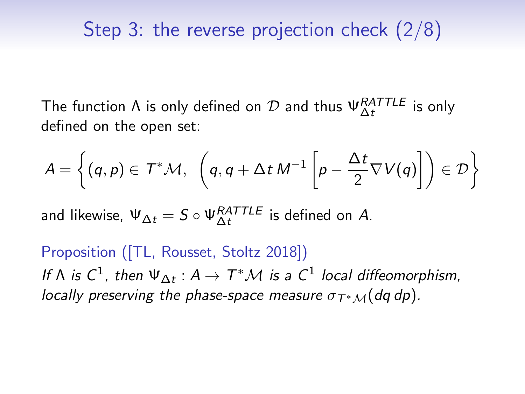The function  $\Lambda$  is only defined on  $\mathcal D$  and thus  $\Psi_{\Delta t}^{RATTLE}$  is only defined on the open set:

$$
A = \left\{ (q,p) \in \mathcal{T}^*\mathcal{M}, \ \left( q, q+\Delta t \ M^{-1} \left[ p - \frac{\Delta t}{2} \nabla V(q) \right] \right) \in \mathcal{D} \right\}
$$

and likewise,  $\Psi_{\Delta t} = S \circ \Psi_{\Delta t}^{RATILE}$  is defined on A.

Proposition ([TL, Rousset, Stoltz 2018]) If  $\Lambda$  is  $C^1$ , then  $\Psi_{\Delta t}: A \to T^*\mathcal{M}$  is a  $C^1$  local diffeomorphism, locally preserving the phase-space measure  $\sigma_{T^*M}(dq\ dp)$ .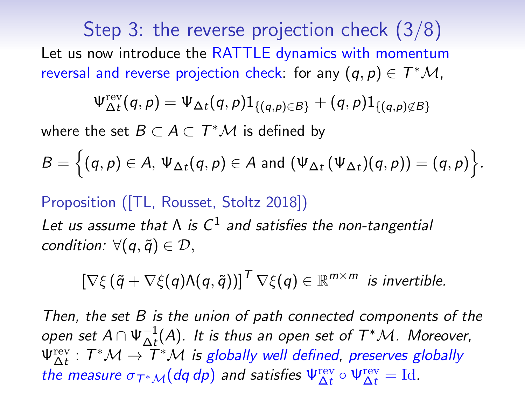Step 3: the reverse projection check (3/8) Let us now introduce the RATTLE dynamics with momentum reversal and reverse projection check: for any  $(q, p) \in T^*\mathcal{M}$ ,

$$
\Psi^{\text{rev}}_{\Delta t}(q,p) = \Psi_{\Delta t}(q,p) 1_{\{(q,p) \in B\}} + (q,p) 1_{\{(q,p) \notin B\}}
$$

where the set  $B \subset A \subset T^*\mathcal{M}$  is defined by

$$
B=\Big\{(q,p)\in A,\,\Psi_{\Delta t}(q,p)\in A\,\,\text{and}\,\,(\Psi_{\Delta t}\,(\Psi_{\Delta t})(q,p))=(q,p)\Big\}.
$$

### Proposition ([TL, Rousset, Stoltz 2018])

Let us assume that  $\Lambda$  is  $C^1$  and satisfies the non-tangential condition:  $\forall (q, \tilde{q}) \in \mathcal{D}$ ,

$$
\left[\nabla\xi\left(\tilde{q}+\nabla\xi(q)\Lambda(q,\tilde{q})\right)\right]^T\nabla\xi(q)\in\mathbb{R}^{m\times m} \text{ is invertible.}
$$

Then, the set B is the union of path connected components of the open set  $A\cap \Psi_{\Delta t}^{-1}(A)$ . It is thus an open set of  $T^*\mathcal{M}$ . Moreover,  $\Psi_{\Delta t}^{\text{rev}}:T^*\mathcal{M}\to \overline{T}^*\mathcal{M}$  is globally well defined, preserves globally the measure  $\sigma_{T^* \mathcal{M}}(dq \, dp)$  and satisfies  $\Psi_{\Delta t}^{\text{rev}} \circ \Psi_{\Delta t}^{\text{rev}} = \text{Id}.$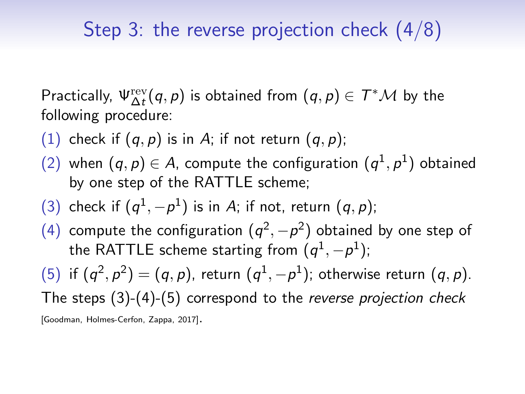# Step 3: the reverse projection check (4/8)

Practically,  $\Psi_{\Delta t}^{\text{rev}}(q, p)$  is obtained from  $(q, p) \in T^*\mathcal{M}$  by the following procedure:

- (1) check if  $(q, p)$  is in A; if not return  $(q, p)$ ;
- (2) when  $(q, p) \in A$ , compute the configuration  $(q^1, p^1)$  obtained by one step of the RATTLE scheme;
- (3) check if  $(q^1, -p^1)$  is in A; if not, return  $(q, p)$ ;
- (4) compute the configuration  $(q^2, -p^2)$  obtained by one step of the RATTLE scheme starting from  $(q^{1}, -p^{1});$

(5) if  $(q^2, p^2) = (q, p)$ , return  $(q^1, -p^1)$ ; otherwise return  $(q, p)$ . The steps (3)-(4)-(5) correspond to the reverse projection check [Goodman, Holmes-Cerfon, Zappa, 2017].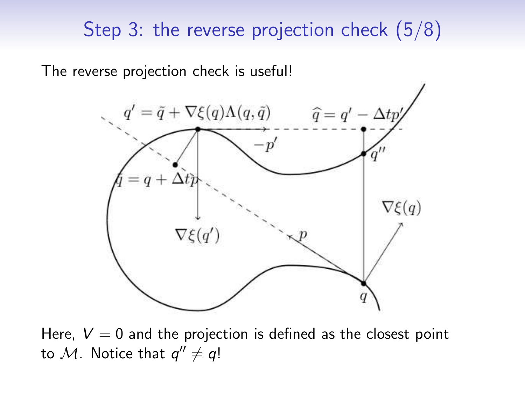## Step 3: the reverse projection check (5/8)

The reverse projection check is useful!



Here,  $V = 0$  and the projection is defined as the closest point to M. Notice that  $q'' \neq q!$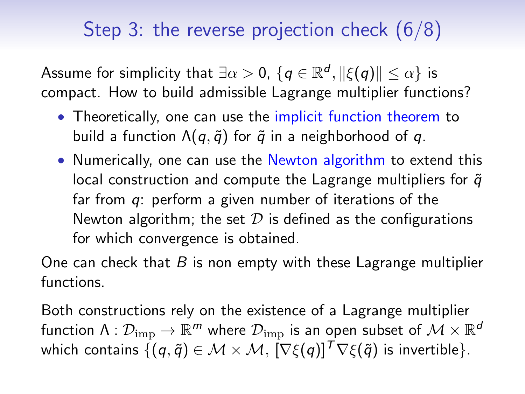# Step 3: the reverse projection check (6/8)

Assume for simplicity that  $\exists \alpha >0, \, \{q\in \mathbb{R}^d, \|\xi(q)\|\leq \alpha\}$  is compact. How to build admissible Lagrange multiplier functions?

- Theoretically, one can use the implicit function theorem to build a function  $\Lambda(q, \tilde{q})$  for  $\tilde{q}$  in a neighborhood of q.
- Numerically, one can use the Newton algorithm to extend this local construction and compute the Lagrange multipliers for  $\tilde{q}$ far from q: perform a given number of iterations of the Newton algorithm; the set  $D$  is defined as the configurations for which convergence is obtained.

One can check that  $B$  is non empty with these Lagrange multiplier functions.

Both constructions rely on the existence of a Lagrange multiplier function  $\Lambda: \mathcal{D}_{\text{imp}} \to \mathbb{R}^m$  where  $\mathcal{D}_{\text{imp}}$  is an open subset of  $\mathcal{M} \times \mathbb{R}^d$ which contains  $\{(\mathbf{q}, \tilde{\mathbf{q}}) \in \mathcal{M} \times \mathcal{M}, [\nabla \xi(\mathbf{q})]^T \nabla \xi(\tilde{\mathbf{q}})$  is invertible.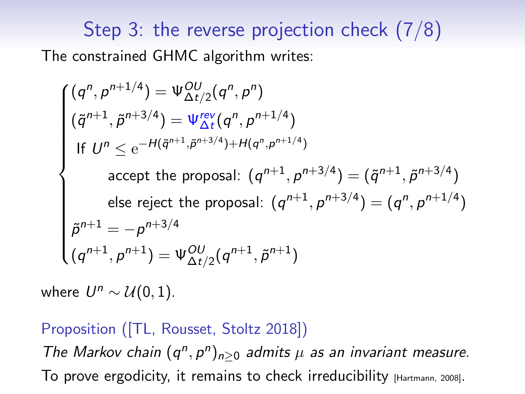# Step 3: the reverse projection check (7/8) The constrained GHMC algorithm writes:

$$
\begin{cases}\n(q^n, p^{n+1/4}) = \Psi_{\Delta t/2}^{\text{OU}}(q^n, p^n) \\
(\tilde{q}^{n+1}, \tilde{p}^{n+3/4}) = \Psi_{\Delta t}^{\text{rev}}(q^n, p^{n+1/4}) \\
\text{If } U^n \le e^{-H(\tilde{q}^{n+1}, \tilde{p}^{n+3/4}) + H(q^n, p^{n+1/4})} \\
\text{accept the proposal: } (q^{n+1}, p^{n+3/4}) = (\tilde{q}^{n+1}, \tilde{p}^{n+3/4}) \\
\text{else reject the proposal: } (q^{n+1}, p^{n+3/4}) = (q^n, p^{n+1/4}) \\
\tilde{p}^{n+1} = -p^{n+3/4} \\
(q^{n+1}, p^{n+1}) = \Psi_{\Delta t/2}^{\text{OU}}(q^{n+1}, \tilde{p}^{n+1})\n\end{cases}
$$

where  $U^n \sim \mathcal{U}(0, 1)$ .

#### Proposition ([TL, Rousset, Stoltz 2018])

The Markov chain  $(q^n, p^n)_{n\geq 0}$  admits  $\mu$  as an invariant measure. To prove ergodicity, it remains to check irreducibility [Hartmann, 2008].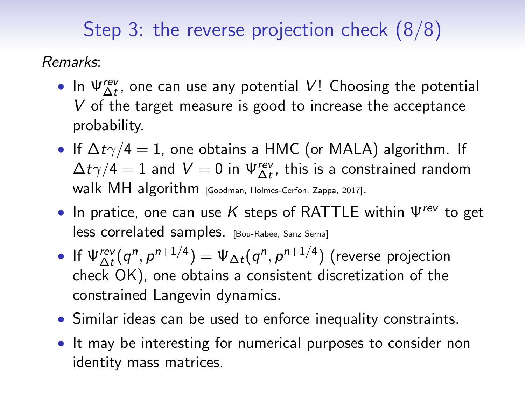# Step 3: the reverse projection check (8/8)

Remarks:

- In  $\Psi_{\Delta t}^{rev}$ , one can use any potential V! Choosing the potential V of the target measure is good to increase the acceptance probability.
- If  $\Delta t \gamma/4 = 1$ , one obtains a HMC (or MALA) algorithm. If  $\Delta t\gamma/4=1$  and  $V=0$  in  $\Psi_{\Delta t}^{\mathsf{rev}},$  this is a constrained random walk MH algorithm [Goodman, Holmes-Cerfon, Zappa, 2017].
- In pratice, one can use K steps of RATTLE within  $\Psi^{rev}$  to get less correlated samples. [Bou-Rabee, Sanz Serna]
- If  $\psi_{\Delta t}^{\text{rev}}(q^n, p^{n+1/4}) = \psi_{\Delta t}(q^n, p^{n+1/4})$  (reverse projection check OK), one obtains a consistent discretization of the constrained Langevin dynamics.
- Similar ideas can be used to enforce inequality constraints.
- It may be interesting for numerical purposes to consider non identity mass matrices.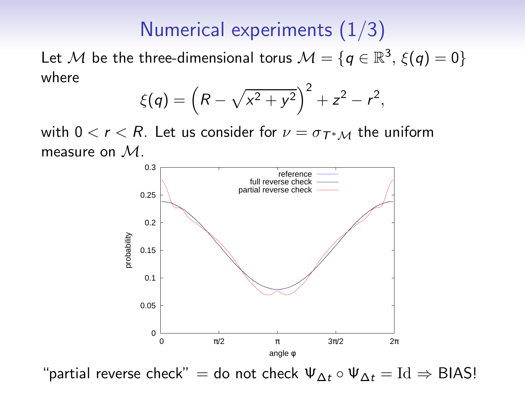## Numerical experiments (1/3)

<span id="page-23-0"></span>Let M be the three-dimensional torus  $\mathcal{M} = \{q \in \mathbb{R}^3, \, \xi(q) = 0\}$ where

$$
\xi(q) = \left(R - \sqrt{x^2 + y^2}\right)^2 + z^2 - r^2,
$$

with  $0 < r < R$ . Let us consider for  $\nu = \sigma_{T^*M}$  the uniform measure on M.



"partial reverse check" = do not check  $\Psi_{\Delta t} \circ \Psi_{\Delta t} = \text{Id} \Rightarrow \text{BIAS!}$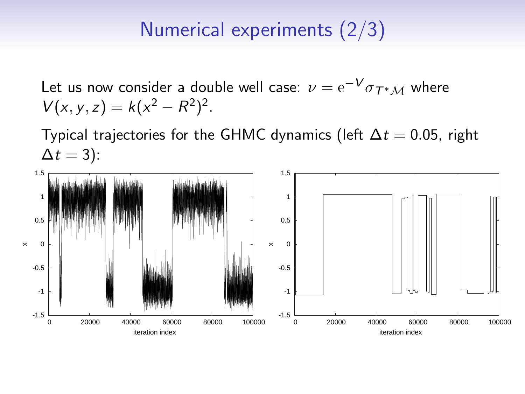## Numerical experiments (2/3)

Let us now consider a double well case:  $\nu = \mathrm{e}^{-\bm{V}}\sigma_{\bm{\mathcal{T}}^*\mathcal{M}}$  where  $V(x, y, z) = k(x^2 - R^2)^2$ .

Typical trajectories for the GHMC dynamics (left  $\Delta t = 0.05$ , right  $\Delta t = 3$ :

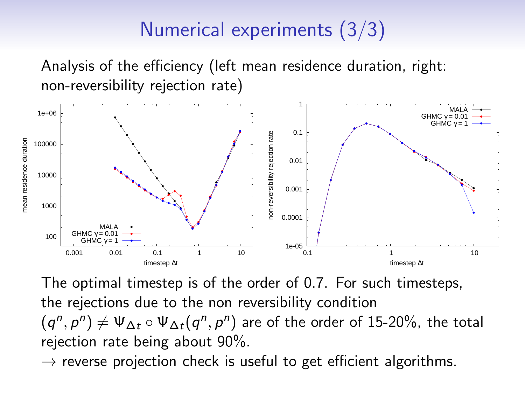# Numerical experiments (3/3)

Analysis of the efficiency (left mean residence duration, right: non-reversibility rejection rate)



The optimal timestep is of the order of 0.7. For such timesteps, the rejections due to the non reversibility condition  $(q^n, p^n) \neq \Psi_{\Delta t} \circ \Psi_{\Delta t} (q^n, p^n)$  are of the order of 15-20%, the total rejection rate being about 90%.

 $\rightarrow$  reverse projection check is useful to get efficient algorithms.